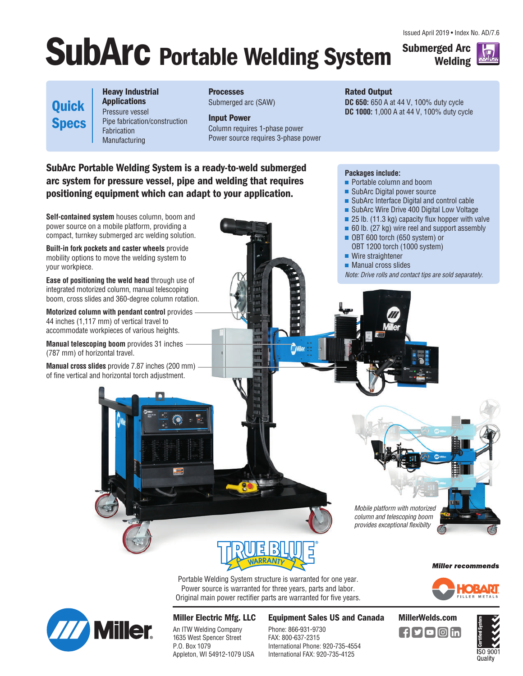Issued April 2019 • Index No. AD/7.6

# **SubArc Portable Welding System**

**Submerged Arc Welding**



**Quick Specs**

**Heavy Industrial Applications** Pressure vessel Pipe fabrication/construction Fabrication Manufacturing

**Processes** Submerged arc (SAW)

**Input Power**  Column requires 1-phase power Power source requires 3-phase power

**SubArc Portable Welding System is a ready-to-weld submerged arc system for pressure vessel, pipe and welding that requires positioning equipment which can adapt to your application.**

**Self-contained system** houses column, boom and power source on a mobile platform, providing a compact, turnkey submerged arc welding solution.

**Built-in fork pockets and caster wheels** provide mobility options to move the welding system to your workpiece.

**Ease of positioning the weld head** through use of integrated motorized column, manual telescoping boom, cross slides and 360-degree column rotation.

**Motorized column with pendant control** provides 44 inches (1,117 mm) of vertical travel to accommodate workpieces of various heights.

**Manual telescoping boom** provides 31 inches (787 mm) of horizontal travel.

**Manual cross slides** provide 7.87 inches (200 mm) of fine vertical and horizontal torch adjustment.

### **Rated Output**

**DC 650:** 650 A at 44 V, 100% duty cycle **DC 1000:** 1,000 A at 44 V, 100% duty cycle

#### **Packages include:**

- **Portable column and boom**
- SubArc Digital power source
- SubArc Interface Digital and control cable
- SubArc Wire Drive 400 Digital Low Voltage
- $\blacksquare$  25 lb. (11.3 kg) capacity flux hopper with valve
- 60 lb. (27 kg) wire reel and support assembly OBT 600 torch (650 system) or
- OBT 1200 torch (1000 system) ■ Wire straightener
- **Manual cross slides**

Note: Drive rolls and contact tips are sold separately.

column and telescoping boom provides exceptional flexibilty

Mobile platform with motorized

#### **Miller recommends**

ORADI

Portable Welding System structure is warranted for one year. Power source is warranted for three years, parts and labor. Original main power rectifier parts are warranted for five years.

**MARK** 



**Miller Electric Mfg. LLC**

An ITW Welding Company 1635 West Spencer Street P.O. Box 1079 Appleton, WI 54912-1079 USA **Equipment Sales US and Canada MillerWelds.com**

Phone: 866-931-9730 FAX: 800-637-2315 International Phone: 920-735-4554 International FAX: 920-735-4125





[ **f[У[О]** [in]